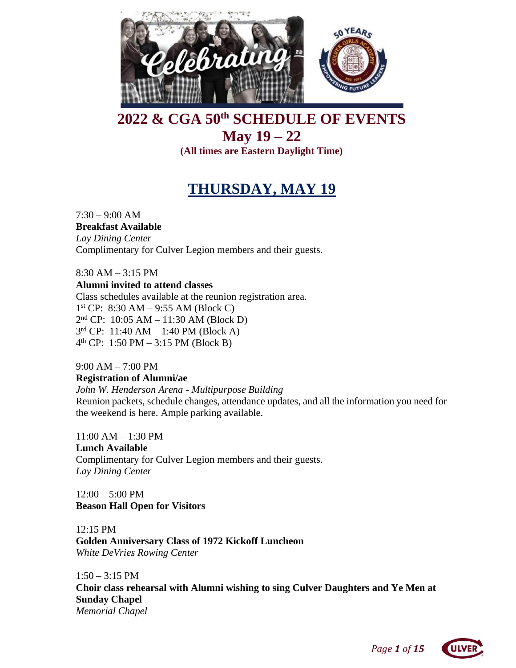

# **2022 & CGA 50th SCHEDULE OF EVENTS May 19 – 22 (All times are Eastern Daylight Time)**

# **THURSDAY, MAY 19**

7:30 – 9:00 AM **Breakfast Available** *Lay Dining Center* Complimentary for Culver Legion members and their guests.

8:30 AM – 3:15 PM **Alumni invited to attend classes** Class schedules available at the reunion registration area. 1 st CP: 8:30 AM – 9:55 AM (Block C) 2 nd CP: 10:05 AM – 11:30 AM (Block D) 3 rd CP: 11:40 AM – 1:40 PM (Block A) 4 th CP: 1:50 PM – 3:15 PM (Block B)

9:00 AM – 7:00 PM **Registration of Alumni/ae** *John W. Henderson Arena - Multipurpose Building* Reunion packets, schedule changes, attendance updates, and all the information you need for the weekend is here. Ample parking available.

11:00 AM – 1:30 PM **Lunch Available** Complimentary for Culver Legion members and their guests. *Lay Dining Center*

 $12:00 - 5:00 \text{ PM}$ **Beason Hall Open for Visitors**

12:15 PM **Golden Anniversary Class of 1972 Kickoff Luncheon** *White DeVries Rowing Center*

 $1:50 - 3:15$  PM **Choir class rehearsal with Alumni wishing to sing Culver Daughters and Ye Men at Sunday Chapel** *Memorial Chapel* 

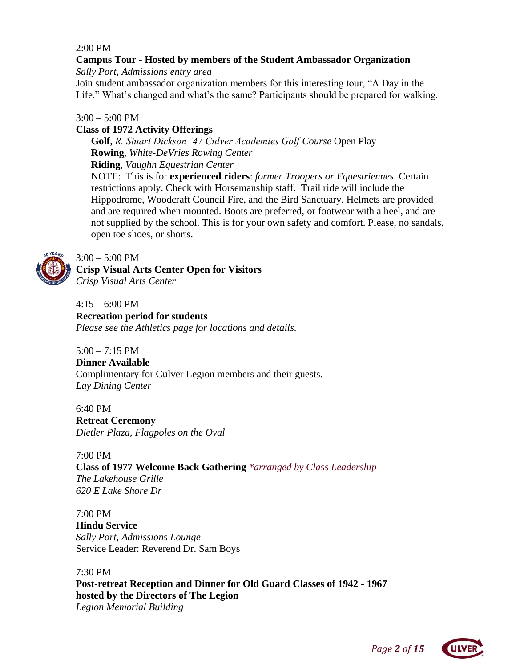### 2:00 PM

# **Campus Tour - Hosted by members of the Student Ambassador Organization**

*Sally Port, Admissions entry area*

Join student ambassador organization members for this interesting tour, "A Day in the Life." What's changed and what's the same? Participants should be prepared for walking.

### $3:00 - 5:00$  PM

### **Class of 1972 Activity Offerings**

**Golf**, *R. Stuart Dickson '47 Culver Academies Golf Course* Open Play **Rowing**, *White-DeVries Rowing Center*

**Riding**, *Vaughn Equestrian Center*

NOTE: This is for **experienced riders**: *former Troopers or Equestriennes.* Certain restrictions apply. Check with Horsemanship staff. Trail ride will include the Hippodrome, Woodcraft Council Fire, and the Bird Sanctuary. Helmets are provided and are required when mounted. Boots are preferred, or footwear with a heel, and are not supplied by the school. This is for your own safety and comfort. Please, no sandals, open toe shoes, or shorts.



 $3:00 - 5:00$  PM

**Crisp Visual Arts Center Open for Visitors** *Crisp Visual Arts Center*

 $4:15 - 6:00 \text{ PM}$ **Recreation period for students** *Please see the Athletics page for locations and details.*

 $5:00 - 7:15$  PM **Dinner Available** Complimentary for Culver Legion members and their guests. *Lay Dining Center*

6:40 PM **Retreat Ceremony** *Dietler Plaza, Flagpoles on the Oval*

7:00 PM **Class of 1977 Welcome Back Gathering** *\*arranged by Class Leadership The Lakehouse Grille 620 E Lake Shore Dr*

7:00 PM **Hindu Service** *Sally Port, Admissions Lounge*  Service Leader: Reverend Dr. Sam Boys

7:30 PM **Post-retreat Reception and Dinner for Old Guard Classes of 1942 - 1967 hosted by the Directors of The Legion** *Legion Memorial Building*

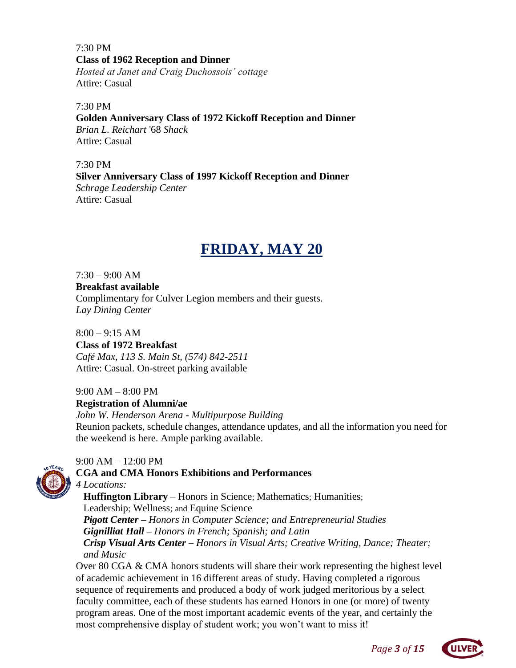7:30 PM **Class of 1962 Reception and Dinner** *Hosted at Janet and Craig Duchossois' cottage* Attire: Casual

7:30 PM **Golden Anniversary Class of 1972 Kickoff Reception and Dinner** *Brian L. Reichart* '68 *Shack* Attire: Casual

7:30 PM **Silver Anniversary Class of 1997 Kickoff Reception and Dinner** *Schrage Leadership Center* Attire: Casual

# **FRIDAY, MAY 20**

 $7:30 - 9:00$  AM

**Breakfast available** Complimentary for Culver Legion members and their guests. *Lay Dining Center*

 $8:00 - 9:15$  AM **Class of 1972 Breakfast**  *Café Max, 113 S. Main St, (574) 842-2511* Attire: Casual. On-street parking available

9:00 AM *–* 8:00 PM **Registration of Alumni/ae** *John W. Henderson Arena - Multipurpose Building* Reunion packets, schedule changes, attendance updates, and all the information you need for the weekend is here. Ample parking available.

 $9:00$  AM  $-12:00$  PM **CGA and CMA Honors Exhibitions and Performances**

*4 Locations:* **Huffington Library** – Honors in Science; Mathematics; Humanities; Leadership; Wellness; and Equine Science  *Pigott Center – Honors in Computer Science; and Entrepreneurial Studies Gignilliat Hall – Honors in French; Spanish; and Latin Crisp Visual Arts Center – Honors in Visual Arts; Creative Writing, Dance; Theater; and Music* Over 80 CGA & CMA honors students will share their work representing the highest level

of academic achievement in 16 different areas of study. Having completed a rigorous sequence of requirements and produced a body of work judged meritorious by a select faculty committee, each of these students has earned Honors in one (or more) of twenty program areas. One of the most important academic events of the year, and certainly the most comprehensive display of student work; you won't want to miss it!



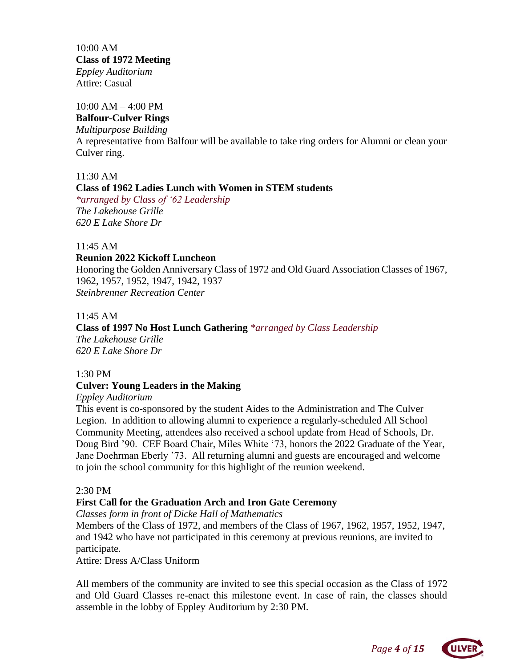10:00 AM **Class of 1972 Meeting**  *Eppley Auditorium* Attire: Casual

#### 10:00 AM – 4:00 PM

**Balfour-Culver Rings**

*Multipurpose Building*

A representative from Balfour will be available to take ring orders for Alumni or clean your Culver ring.

11:30 AM

### **Class of 1962 Ladies Lunch with Women in STEM students**

*\*arranged by Class of '62 Leadership The Lakehouse Grille 620 E Lake Shore Dr*

#### 11:45 AM

### **Reunion 2022 Kickoff Luncheon**

Honoring the Golden Anniversary Class of 1972 and Old Guard Association Classes of 1967, 1962, 1957, 1952, 1947, 1942, 1937 *Steinbrenner Recreation Center*

### 11:45 AM

## **Class of 1997 No Host Lunch Gathering** *\*arranged by Class Leadership The Lakehouse Grille*

*620 E Lake Shore Dr*

#### 1:30 PM

### **Culver: Young Leaders in the Making**

*Eppley Auditorium*

This event is co-sponsored by the student Aides to the Administration and The Culver Legion. In addition to allowing alumni to experience a regularly-scheduled All School Community Meeting, attendees also received a school update from Head of Schools, Dr. Doug Bird '90. CEF Board Chair, Miles White '73, honors the 2022 Graduate of the Year, Jane Doehrman Eberly '73. All returning alumni and guests are encouraged and welcome to join the school community for this highlight of the reunion weekend.

#### 2:30 PM

### **First Call for the Graduation Arch and Iron Gate Ceremony**

*Classes form in front of Dicke Hall of Mathematics*

Members of the Class of 1972, and members of the Class of 1967, 1962, 1957, 1952, 1947, and 1942 who have not participated in this ceremony at previous reunions, are invited to participate.

Attire: Dress A/Class Uniform

All members of the community are invited to see this special occasion as the Class of 1972 and Old Guard Classes re-enact this milestone event. In case of rain, the classes should assemble in the lobby of Eppley Auditorium by 2:30 PM.

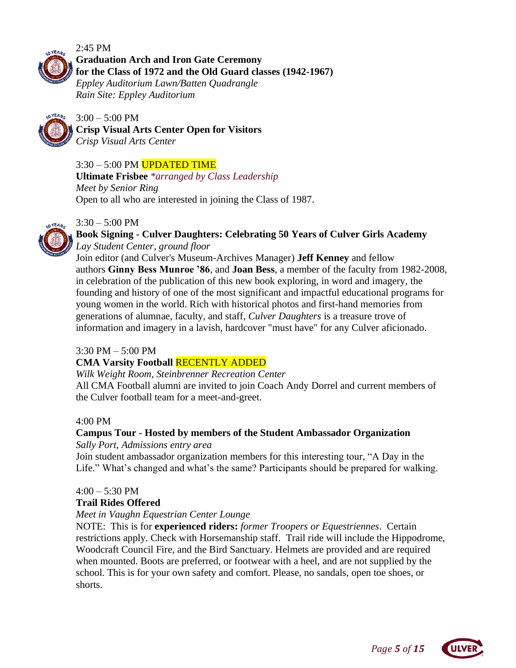#### 2:45 PM

**Graduation Arch and Iron Gate Ceremony for the Class of 1972 and the Old Guard classes (1942-1967)**

*Eppley Auditorium Lawn/Batten Quadrangle Rain Site: Eppley Auditorium*



 $3:00 - 5:00$  PM **Crisp Visual Arts Center Open for Visitors** *Crisp Visual Arts Center*

### 3:30 – 5:00 PM UPDATED TIME

**Ultimate Frisbee** *\*arranged by Class Leadership Meet by Senior Ring* Open to all who are interested in joining the Class of 1987.

### $3:30 - 5:00$  PM



### **Book Signing - Culver Daughters: Celebrating 50 Years of Culver Girls Academy** *Lay Student Center, ground floor*

Join editor (and Culver's Museum-Archives Manager) **Jeff Kenney** and fellow authors **Ginny Bess Munroe '86**, and **Joan Bess**, a member of the faculty from 1982-2008, in celebration of the publication of this new book exploring, in word and imagery, the founding and history of one of the most significant and impactful educational programs for young women in the world. Rich with historical photos and first-hand memories from generations of alumnae, faculty, and staff, *Culver Daughters* is a treasure trove of information and imagery in a lavish, hardcover "must have" for any Culver aficionado.

### 3:30 PM – 5:00 PM

### **CMA Varsity Football** RECENTLY ADDED

*Wilk Weight Room, Steinbrenner Recreation Center*

All CMA Football alumni are invited to join Coach Andy Dorrel and current members of the Culver football team for a meet-and-greet.

### 4:00 PM

# **Campus Tour - Hosted by members of the Student Ambassador Organization**

*Sally Port, Admissions entry area*

Join student ambassador organization members for this interesting tour, "A Day in the Life." What's changed and what's the same? Participants should be prepared for walking.

### $4:00 - 5:30$  PM

### **Trail Rides Offered**

### *Meet in Vaughn Equestrian Center Lounge*

NOTE: This is for **experienced riders:** *former Troopers or Equestriennes*. Certain restrictions apply. Check with Horsemanship staff. Trail ride will include the Hippodrome, Woodcraft Council Fire, and the Bird Sanctuary. Helmets are provided and are required when mounted. Boots are preferred, or footwear with a heel, and are not supplied by the school. This is for your own safety and comfort. Please, no sandals, open toe shoes, or shorts.



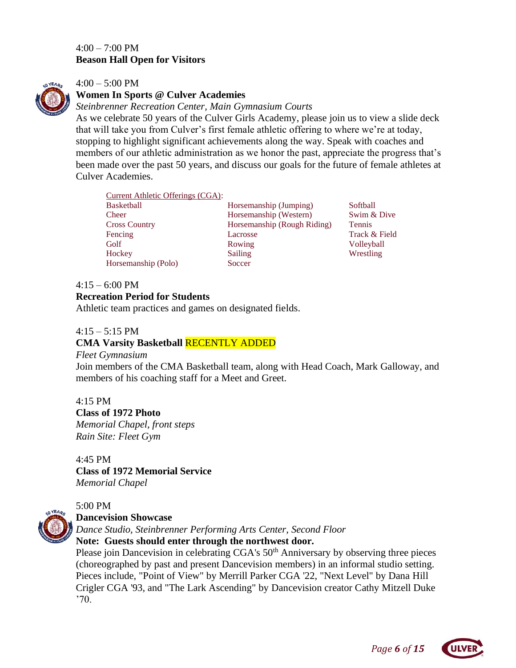### $4:00 - 7:00 \text{ PM}$ **Beason Hall Open for Visitors**



### 4:00 – 5:00 PM

### **Women In Sports @ Culver Academies**

*Steinbrenner Recreation Center, Main Gymnasium Courts*

As we celebrate 50 years of the Culver Girls Academy, please join us to view a slide deck that will take you from Culver's first female athletic offering to where we're at today, stopping to highlight significant achievements along the way. Speak with coaches and members of our athletic administration as we honor the past, appreciate the progress that's been made over the past 50 years, and discuss our goals for the future of female athletes at Culver Academies.

|  | Current Athletic Offerings (CGA): |  |
|--|-----------------------------------|--|
|  |                                   |  |

Horsemanship (Polo) Soccer

Basketball Horsemanship (Jumping) Softball Cheer Horsemanship (Western) Swim & Dive Cross Country Horsemanship (Rough Riding) Tennis Fencing Lacrosse Lacrosse Track & Field Golf **Rowing Volleyball** Hockey Sailing Wrestling

### $4:15 - 6:00 \text{ PM}$

### **Recreation Period for Students**

Athletic team practices and games on designated fields.

### $4:15 - 5:15$  PM

### **CMA Varsity Basketball** RECENTLY ADDED

### *Fleet Gymnasium*

Join members of the CMA Basketball team, along with Head Coach, Mark Galloway, and members of his coaching staff for a Meet and Greet.

4:15 PM

**Class of 1972 Photo**

*Memorial Chapel, front steps Rain Site: Fleet Gym*

4:45 PM **Class of 1972 Memorial Service** *Memorial Chapel*



### 5:00 PM

### **Dancevision Showcase**

*Dance Studio, Steinbrenner Performing Arts Center, Second Floor*

**Note: Guests should enter through the northwest door.**

Please join Dancevision in celebrating CGA's 50<sup>th</sup> Anniversary by observing three pieces (choreographed by past and present Dancevision members) in an informal studio setting. Pieces include, "Point of View" by Merrill Parker CGA '22, "Next Level" by Dana Hill Crigler CGA '93, and "The Lark Ascending" by Dancevision creator Cathy Mitzell Duke '70.

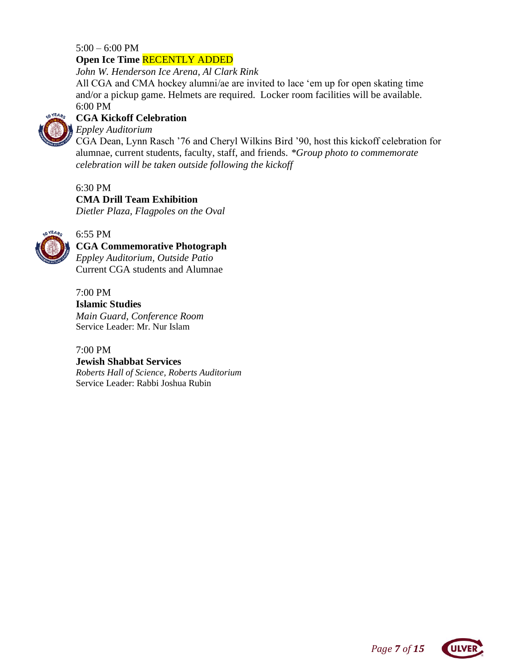### $5:00 - 6:00$  PM **Open Ice Time** RECENTLY ADDED

*John W. Henderson Ice Arena, Al Clark Rink*

All CGA and CMA hockey alumni/ae are invited to lace 'em up for open skating time and/or a pickup game. Helmets are required. Locker room facilities will be available. 6:00 PM



## **CGA Kickoff Celebration**

*Eppley Auditorium*

CGA Dean, Lynn Rasch '76 and Cheryl Wilkins Bird '90, host this kickoff celebration for alumnae, current students, faculty, staff, and friends. *\*Group photo to commemorate celebration will be taken outside following the kickoff*

### 6:30 PM

### **CMA Drill Team Exhibition**

*Dietler Plaza, Flagpoles on the Oval*



#### 6:55 PM **CGA Commemorative Photograph**

*Eppley Auditorium, Outside Patio*  Current CGA students and Alumnae

7:00 PM **Islamic Studies**  *Main Guard, Conference Room* Service Leader: Mr. Nur Islam

7:00 PM **Jewish Shabbat Services** *Roberts Hall of Science, Roberts Auditorium*  Service Leader: Rabbi Joshua Rubin

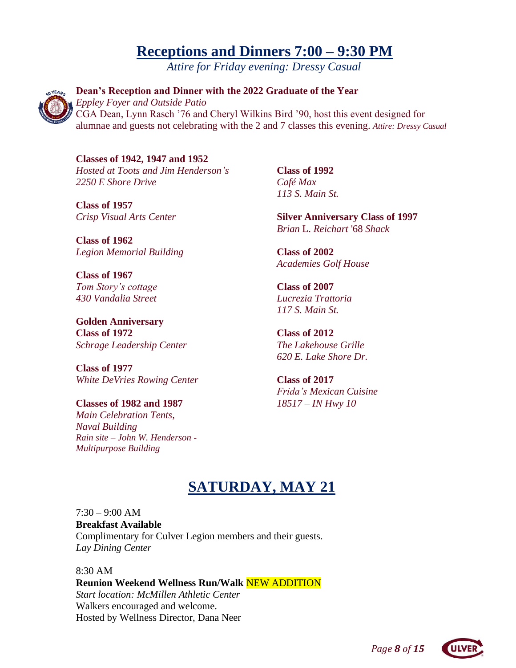# **Receptions and Dinners 7:00 – 9:30 PM**

*Attire for Friday evening: Dressy Casual*



**Dean's Reception and Dinner with the 2022 Graduate of the Year**  *Eppley Foyer and Outside Patio* CGA Dean, Lynn Rasch '76 and Cheryl Wilkins Bird '90, host this event designed for alumnae and guests not celebrating with the 2 and 7 classes this evening. *Attire: Dressy Casual*

**Classes of 1942, 1947 and 1952** *Hosted at Toots and Jim Henderson's 2250 E Shore Drive*

**Class of 1957** *Crisp Visual Arts Center*

**Class of 1962** *Legion Memorial Building*

**Class of 1967** *Tom Story's cottage 430 Vandalia Street*

**Golden Anniversary Class of 1972**  *Schrage Leadership Center*

**Class of 1977** *White DeVries Rowing Center*

**Classes of 1982 and 1987** *Main Celebration Tents, Naval Building Rain site – John W. Henderson - Multipurpose Building*

**Class of 1992** *Café Max 113 S. Main St.*

**Silver Anniversary Class of 1997**  *Brian* L. *Reichart* '68 *Shack*

**Class of 2002** *Academies Golf House*

**Class of 2007** *Lucrezia Trattoria 117 S. Main St.*

**Class of 2012** *The Lakehouse Grille 620 E. Lake Shore Dr.*

**Class of 2017** *Frida's Mexican Cuisine 18517 – IN Hwy 10*

# **SATURDAY, MAY 21**

 $7:30 - 9:00$  AM **Breakfast Available** Complimentary for Culver Legion members and their guests. *Lay Dining Center*

### 8:30 AM

**Reunion Weekend Wellness Run/Walk** NEW ADDITION *Start location: McMillen Athletic Center* Walkers encouraged and welcome. Hosted by Wellness Director, Dana Neer

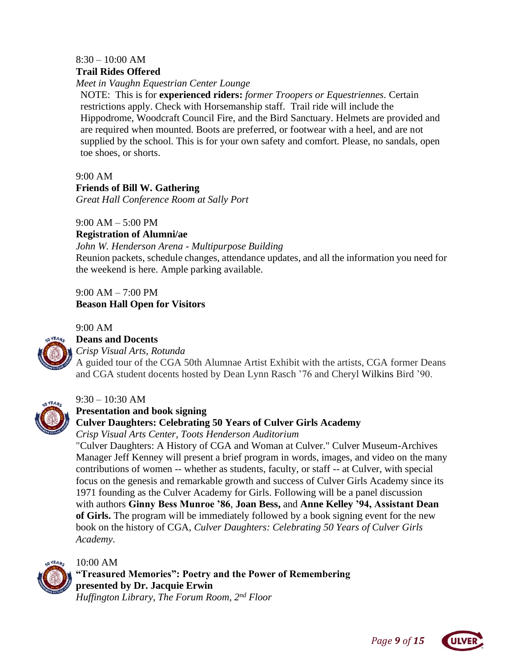### 8:30 – 10:00 AM **Trail Rides Offered**

*Meet in Vaughn Equestrian Center Lounge*

NOTE: This is for **experienced riders:** *former Troopers or Equestriennes.* Certain restrictions apply. Check with Horsemanship staff. Trail ride will include the Hippodrome, Woodcraft Council Fire, and the Bird Sanctuary. Helmets are provided and are required when mounted. Boots are preferred, or footwear with a heel, and are not supplied by the school. This is for your own safety and comfort. Please, no sandals, open toe shoes, or shorts.

9:00 AM

# **Friends of Bill W. Gathering**

*Great Hall Conference Room at Sally Port*

9:00 AM – 5:00 PM

**Registration of Alumni/ae**

*John W. Henderson Arena - Multipurpose Building*

Reunion packets, schedule changes, attendance updates, and all the information you need for the weekend is here. Ample parking available.

9:00 AM – 7:00 PM **Beason Hall Open for Visitors**

9:00 AM



# **Deans and Docents**

*Crisp Visual Arts, Rotunda*

A guided tour of the CGA 50th Alumnae Artist Exhibit with the artists, CGA former Deans and CGA student docents hosted by Dean Lynn Rasch '76 and Cheryl Wilkins Bird '90.



#### 9:30 – 10:30 AM **Presentation and book signing**

## **Culver Daughters: Celebrating 50 Years of Culver Girls Academy**

*Crisp Visual Arts Center, Toots Henderson Auditorium*

"Culver Daughters: A History of CGA and Woman at Culver." Culver Museum-Archives Manager Jeff Kenney will present a brief program in words, images, and video on the many contributions of women -- whether as students, faculty, or staff -- at Culver, with special focus on the genesis and remarkable growth and success of Culver Girls Academy since its 1971 founding as the Culver Academy for Girls. Following will be a panel discussion with authors **Ginny Bess Munroe '86**, **Joan Bess,** and **Anne Kelley '94, Assistant Dean of Girls.** The program will be immediately followed by a book signing event for the new book on the history of CGA, *Culver Daughters: Celebrating 50 Years of Culver Girls Academy*.



## 10:00 AM

**"Treasured Memories": Poetry and the Power of Remembering presented by Dr. Jacquie Erwin** *Huffington Library, The Forum Room, 2nd Floor*

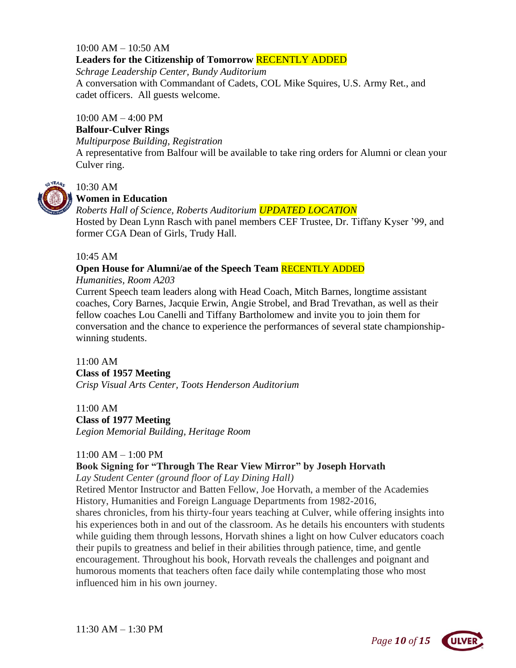# $10:00$  AM  $- 10:50$  AM **Leaders for the Citizenship of Tomorrow** RECENTLY ADDED

*Schrage Leadership Center, Bundy Auditorium* A conversation with Commandant of Cadets, COL Mike Squires, U.S. Army Ret., and cadet officers. All guests welcome.

### $10:00$  AM  $-$  4:00 PM

### **Balfour-Culver Rings**

*Multipurpose Building, Registration* 

A representative from Balfour will be available to take ring orders for Alumni or clean your Culver ring.



# 10:30 AM

### **Women in Education**

*Roberts Hall of Science, Roberts Auditorium UPDATED LOCATION*

Hosted by Dean Lynn Rasch with panel members CEF Trustee, Dr. Tiffany Kyser '99, and former CGA Dean of Girls, Trudy Hall.

### 10:45 AM

# **Open House for Alumni/ae of the Speech Team** RECENTLY ADDED

### *Humanities, Room A203*

Current Speech team leaders along with Head Coach, Mitch Barnes, longtime assistant coaches, Cory Barnes, Jacquie Erwin, Angie Strobel, and Brad Trevathan, as well as their fellow coaches Lou Canelli and Tiffany Bartholomew and invite you to join them for conversation and the chance to experience the performances of several state championshipwinning students.

11:00 AM **Class of 1957 Meeting** *Crisp Visual Arts Center, Toots Henderson Auditorium* 

### 11:00 AM **Class of 1977 Meeting** *Legion Memorial Building, Heritage Room*

## 11:00 AM – 1:00 PM

## **Book Signing for "Through The Rear View Mirror" by Joseph Horvath**

*Lay Student Center (ground floor of Lay Dining Hall)*

Retired Mentor Instructor and Batten Fellow, Joe Horvath, a member of the Academies History, Humanities and Foreign Language Departments from 1982-2016,

shares chronicles, from his thirty-four years teaching at Culver, while offering insights into his experiences both in and out of the classroom. As he details his encounters with students while guiding them through lessons, Horvath shines a light on how Culver educators coach their pupils to greatness and belief in their abilities through patience, time, and gentle encouragement. Throughout his book, Horvath reveals the challenges and poignant and humorous moments that teachers often face daily while contemplating those who most influenced him in his own journey.

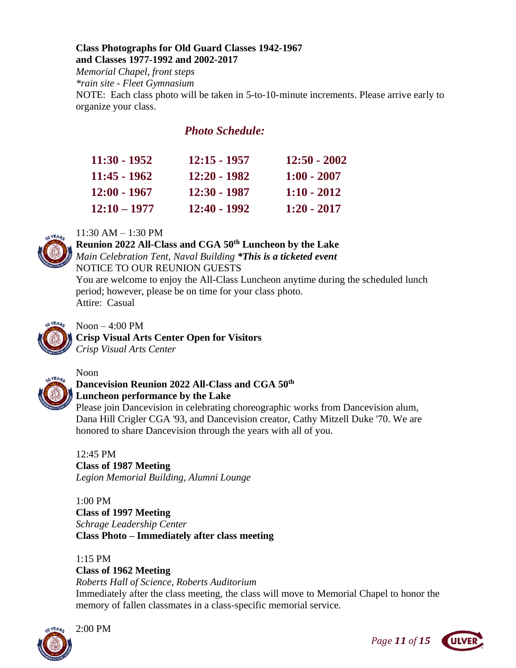### **Class Photographs for Old Guard Classes 1942-1967 and Classes 1977-1992 and 2002-2017**

*Memorial Chapel, front steps*

*\*rain site - Fleet Gymnasium*

NOTE: Each class photo will be taken in 5-to-10-minute increments. Please arrive early to organize your class.

# *Photo Schedule:*

| 11:30 - 1952   | 12:15 - 1957 | $12:50 - 2002$ |
|----------------|--------------|----------------|
| 11:45 - 1962   | 12:20 - 1982 | $1:00 - 2007$  |
| $12:00 - 1967$ | 12:30 - 1987 | $1:10 - 2012$  |
| $12:10 - 1977$ | 12:40 - 1992 | $1:20 - 2017$  |

## 11:30 AM – 1:30 PM

**Reunion 2022 All-Class and CGA 50th Luncheon by the Lake** *Main Celebration Tent, Naval Building \*This is a ticketed event* NOTICE TO OUR REUNION GUESTS

You are welcome to enjoy the All-Class Luncheon anytime during the scheduled lunch period; however, please be on time for your class photo. Attire: Casual



Noon  $-4:00$  PM **Crisp Visual Arts Center Open for Visitors** *Crisp Visual Arts Center*



# **Dancevision Reunion 2022 All-Class and CGA 50th Luncheon performance by the Lake**

Please join Dancevision in celebrating choreographic works from Dancevision alum, Dana Hill Crigler CGA '93, and Dancevision creator, Cathy Mitzell Duke '70. We are honored to share Dancevision through the years with all of you.

12:45 PM **Class of 1987 Meeting** *Legion Memorial Building, Alumni Lounge*

1:00 PM **Class of 1997 Meeting** *Schrage Leadership Center* **Class Photo – Immediately after class meeting**

1:15 PM **Class of 1962 Meeting** *Roberts Hall of Science, Roberts Auditorium*

Immediately after the class meeting, the class will move to Memorial Chapel to honor the memory of fallen classmates in a class-specific memorial service.



2:00 PM



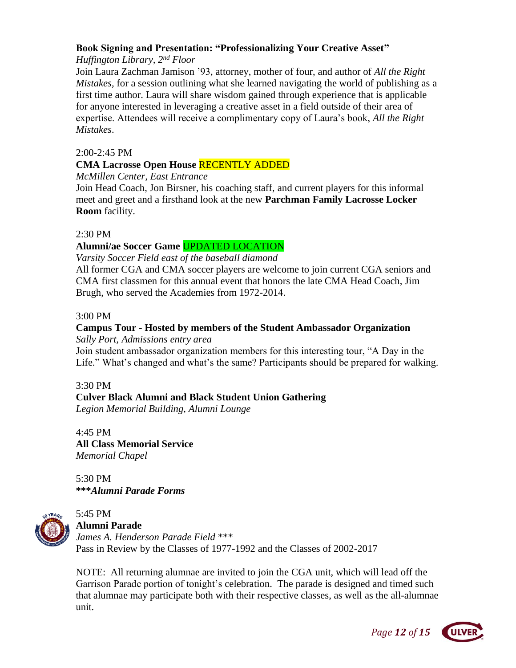### **Book Signing and Presentation: "Professionalizing Your Creative Asset"**

### *Huffington Library, 2nd Floor*

Join Laura Zachman Jamison '93, attorney, mother of four, and author of *All the Right Mistakes,* for a session outlining what she learned navigating the world of publishing as a first time author. Laura will share wisdom gained through experience that is applicable for anyone interested in leveraging a creative asset in a field outside of their area of expertise. Attendees will receive a complimentary copy of Laura's book, *All the Right Mistakes*.

### 2:00-2:45 PM

## **CMA Lacrosse Open House** RECENTLY ADDED

*McMillen Center, East Entrance*

Join Head Coach, Jon Birsner, his coaching staff, and current players for this informal meet and greet and a firsthand look at the new **Parchman Family Lacrosse Locker Room** facility.

### 2:30 PM

## **Alumni/ae Soccer Game** UPDATED LOCATION

*Varsity Soccer Field east of the baseball diamond*

All former CGA and CMA soccer players are welcome to join current CGA seniors and CMA first classmen for this annual event that honors the late CMA Head Coach, Jim Brugh, who served the Academies from 1972-2014.

### 3:00 PM

### **Campus Tour - Hosted by members of the Student Ambassador Organization**  *Sally Port, Admissions entry area*

Join student ambassador organization members for this interesting tour, "A Day in the Life." What's changed and what's the same? Participants should be prepared for walking.

### 3:30 PM

### **Culver Black Alumni and Black Student Union Gathering**

*Legion Memorial Building, Alumni Lounge*

4:45 PM **All Class Memorial Service**  *Memorial Chapel*

5:30 PM **\*\*\****Alumni Parade Forms*



#### 5:45 PM **Alumni Parade**

*James A. Henderson Parade Field* \*\*\* Pass in Review by the Classes of 1977-1992 and the Classes of 2002-2017

NOTE: All returning alumnae are invited to join the CGA unit, which will lead off the Garrison Parade portion of tonight's celebration. The parade is designed and timed such that alumnae may participate both with their respective classes, as well as the all-alumnae unit.



*Page 12 of 15*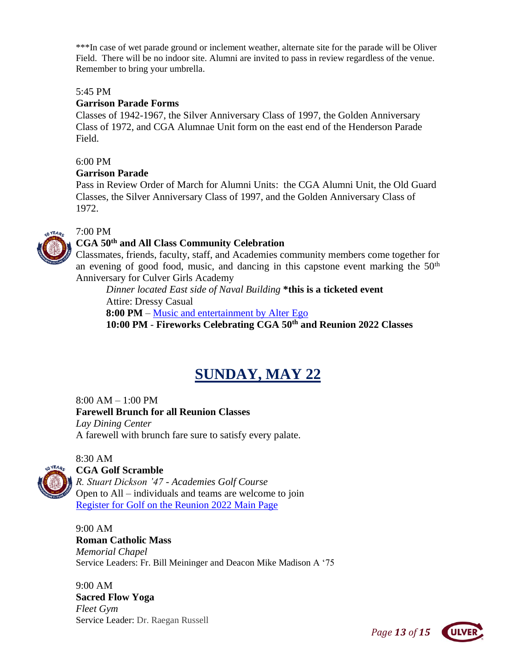\*\*\*In case of wet parade ground or inclement weather, alternate site for the parade will be Oliver Field. There will be no indoor site. Alumni are invited to pass in review regardless of the venue. Remember to bring your umbrella.

### 5:45 PM

### **Garrison Parade Forms**

Classes of 1942-1967, the Silver Anniversary Class of 1997, the Golden Anniversary Class of 1972, and CGA Alumnae Unit form on the east end of the Henderson Parade Field.

### 6:00 PM

### **Garrison Parade**

Pass in Review Order of March for Alumni Units: the CGA Alumni Unit, the Old Guard Classes, the Silver Anniversary Class of 1997, and the Golden Anniversary Class of 1972.

# 7:00 PM

### **CGA 50th and All Class Community Celebration**

Classmates, friends, faculty, staff, and Academies community members come together for an evening of good food, music, and dancing in this capstone event marking the  $50<sup>th</sup>$ Anniversary for Culver Girls Academy

*Dinner located East side of Naval Building* **\*this is a ticketed event** Attire: Dressy Casual **8:00 PM** – [Music and entertainment by Alter Ego](https://youtu.be/dhqpiw60TKM)

**10:00 PM** - **Fireworks Celebrating CGA 50th and Reunion 2022 Classes**

# **SUNDAY, MAY 22**

8:00 AM – 1:00 PM **Farewell Brunch for all Reunion Classes** *Lay Dining Center* A farewell with brunch fare sure to satisfy every palate.

8:30 AM

# **CGA Golf Scramble**

*R. Stuart Dickson '47 - Academies Golf Course* Open to All – individuals and teams are welcome to join [Register for Golf on the Reunion 2022 Main Page](https://forms.office.com/Pages/ResponsePage.aspx?id=W5ccw4fWNkGwPiRiv63hr0FXTL9nrHVOg6fbxbWI4UdUN1ZRSTA4NkVVUEc5NFBJTTdWMFI1VTQ4My4u)

9:00 AM **Roman Catholic Mass** *Memorial Chapel* Service Leaders: Fr. Bill Meininger and Deacon Mike Madison A '75

9:00 AM **Sacred Flow Yoga** *Fleet Gym* Service Leader: Dr. Raegan Russell

*Page 13 of 15*

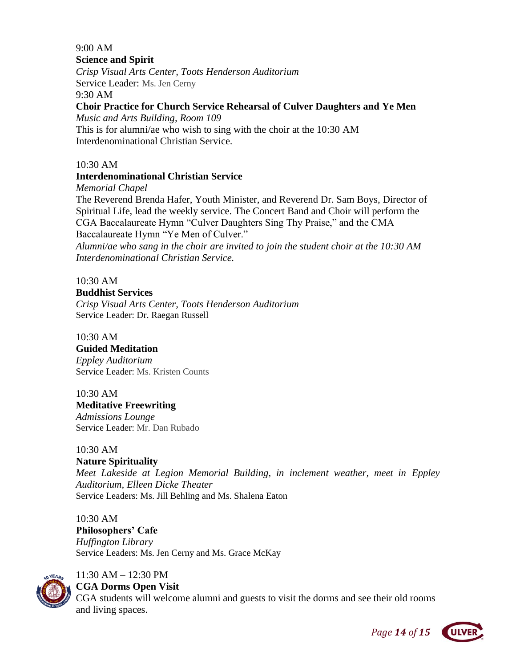#### 9:00 AM **Science and Spirit**

*Crisp Visual Arts Center, Toots Henderson Auditorium*  Service Leader: Ms. Jen Cerny

9:30 AM

## **Choir Practice for Church Service Rehearsal of Culver Daughters and Ye Men**

*Music and Arts Building, Room 109*

This is for alumni/ae who wish to sing with the choir at the 10:30 AM Interdenominational Christian Service.

# 10:30 AM

## **Interdenominational Christian Service**

*Memorial Chapel*

The Reverend Brenda Hafer, Youth Minister, and Reverend Dr. Sam Boys, Director of Spiritual Life, lead the weekly service. The Concert Band and Choir will perform the CGA Baccalaureate Hymn "Culver Daughters Sing Thy Praise," and the CMA

Baccalaureate Hymn "Ye Men of Culver."

*Alumni/ae who sang in the choir are invited to join the student choir at the 10:30 AM Interdenominational Christian Service.*

10:30 AM

# **Buddhist Services**

*Crisp Visual Arts Center, Toots Henderson Auditorium* Service Leader: Dr. Raegan Russell

10:30 AM

## **Guided Meditation**

*Eppley Auditorium* Service Leader: Ms. Kristen Counts

## 10:30 AM

**Meditative Freewriting**

*Admissions Lounge* Service Leader: Mr. Dan Rubado

# 10:30 AM

**Nature Spirituality**

*Meet Lakeside at Legion Memorial Building, in inclement weather, meet in Eppley Auditorium, Elleen Dicke Theater* Service Leaders: Ms. Jill Behling and Ms. Shalena Eaton

10:30 AM **Philosophers' Cafe** *Huffington Library*

Service Leaders: Ms. Jen Cerny and Ms. Grace McKay



# 11:30 AM – 12:30 PM

**CGA Dorms Open Visit**

CGA students will welcome alumni and guests to visit the dorms and see their old rooms and living spaces.